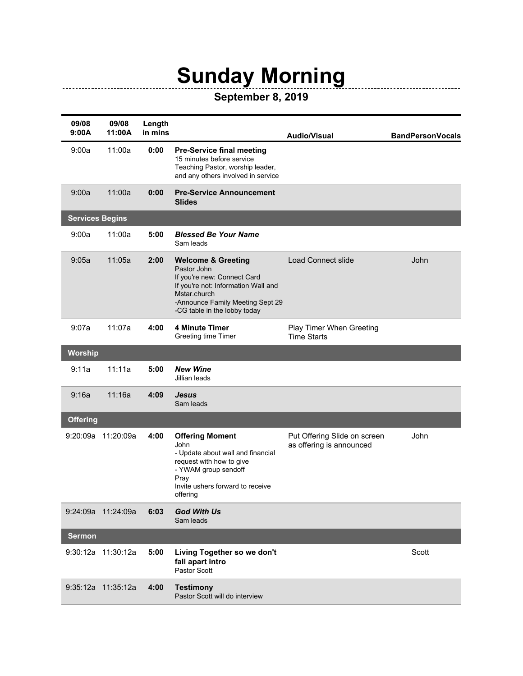## **Sunday Morning**

\_\_\_\_\_\_\_\_\_\_\_\_\_\_\_\_\_\_\_\_\_

## **September 8, 2019**

| 09/08<br>9:00A         | 09/08<br>11:00A    | Length<br>in mins |                                                                                                                                                                                                        | <b>Audio/Visual</b>                                      | <b>BandPersonVocals</b> |
|------------------------|--------------------|-------------------|--------------------------------------------------------------------------------------------------------------------------------------------------------------------------------------------------------|----------------------------------------------------------|-------------------------|
| 9:00a                  | 11:00a             | 0:00              | <b>Pre-Service final meeting</b><br>15 minutes before service<br>Teaching Pastor, worship leader,<br>and any others involved in service                                                                |                                                          |                         |
| 9:00a                  | 11:00a             | 0:00              | <b>Pre-Service Announcement</b><br><b>Slides</b>                                                                                                                                                       |                                                          |                         |
| <b>Services Begins</b> |                    |                   |                                                                                                                                                                                                        |                                                          |                         |
| 9:00a                  | 11:00a             | 5:00              | <b>Blessed Be Your Name</b><br>Sam leads                                                                                                                                                               |                                                          |                         |
| 9:05a                  | 11:05a             | 2:00              | <b>Welcome &amp; Greeting</b><br>Pastor John<br>If you're new: Connect Card<br>If you're not: Information Wall and<br>Mstar.church<br>-Announce Family Meeting Sept 29<br>-CG table in the lobby today | <b>Load Connect slide</b>                                | John                    |
| 9:07a                  | 11:07a             | 4:00              | <b>4 Minute Timer</b><br>Greeting time Timer                                                                                                                                                           | Play Timer When Greeting<br><b>Time Starts</b>           |                         |
| Worship                |                    |                   |                                                                                                                                                                                                        |                                                          |                         |
| 9:11a                  | 11:11a             | 5:00              | <b>New Wine</b><br>Jillian leads                                                                                                                                                                       |                                                          |                         |
| 9:16a                  | 11:16a             | 4:09              | <b>Jesus</b><br>Sam leads                                                                                                                                                                              |                                                          |                         |
| <b>Offering</b>        |                    |                   |                                                                                                                                                                                                        |                                                          |                         |
|                        | 9:20:09a 11:20:09a | 4:00              | <b>Offering Moment</b><br>John<br>- Update about wall and financial<br>request with how to give<br>- YWAM group sendoff<br>Pray<br>Invite ushers forward to receive<br>offering                        | Put Offering Slide on screen<br>as offering is announced | John                    |
|                        | 9:24:09a 11:24:09a | 6:03              | <b>God With Us</b><br>Sam leads                                                                                                                                                                        |                                                          |                         |
| <b>Sermon</b>          |                    |                   |                                                                                                                                                                                                        |                                                          |                         |
|                        | 9:30:12a 11:30:12a | 5:00              | Living Together so we don't<br>fall apart intro<br>Pastor Scott                                                                                                                                        |                                                          | Scott                   |
|                        | 9:35:12a 11:35:12a | 4:00              | <b>Testimony</b><br>Pastor Scott will do interview                                                                                                                                                     |                                                          |                         |